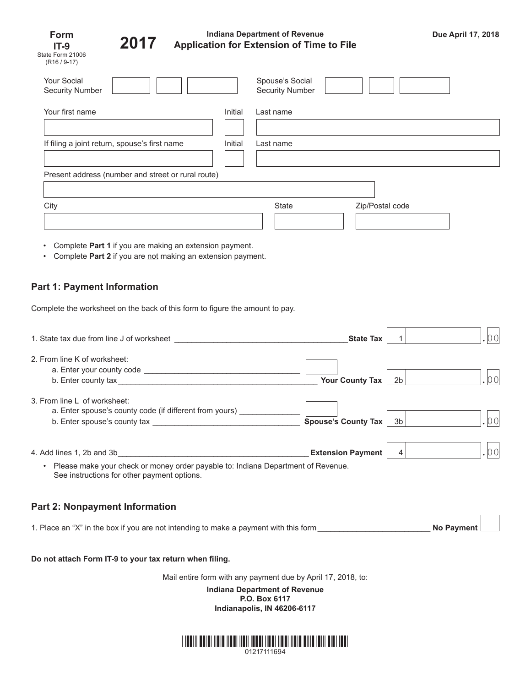| Form             |  |  |  |
|------------------|--|--|--|
| IT-9             |  |  |  |
| State Form 21006 |  |  |  |
| $(R16 / 9-17)$   |  |  |  |



## **Indiana Department of Revenue Application for Extension of Time to File Due April 17, 2018 2017**

n m  $\overline{\phantom{0}}$ 

| <b>Your Social</b><br><b>Security Number</b>       |         | Spouse's Social<br><b>Security Number</b> |                 |  |  |  |
|----------------------------------------------------|---------|-------------------------------------------|-----------------|--|--|--|
| Your first name                                    | Initial | Last name                                 |                 |  |  |  |
|                                                    |         |                                           |                 |  |  |  |
| If filing a joint return, spouse's first name      | Initial | Last name                                 |                 |  |  |  |
|                                                    |         |                                           |                 |  |  |  |
| Present address (number and street or rural route) |         |                                           |                 |  |  |  |
|                                                    |         |                                           |                 |  |  |  |
| City                                               |         | State                                     | Zip/Postal code |  |  |  |
|                                                    |         |                                           |                 |  |  |  |
|                                                    |         |                                           |                 |  |  |  |

- Complete **Part 1** if you are making an extension payment.
- Complete Part 2 if you are not making an extension payment.

# **Part 1: Payment Information**

Complete the worksheet on the back of this form to figure the amount to pay.

| 1. State tax due from line J of worksheet                                                                                                                                                                                               | <b>State Tax</b>         |         |                   |
|-----------------------------------------------------------------------------------------------------------------------------------------------------------------------------------------------------------------------------------------|--------------------------|---------|-------------------|
| 2. From line K of worksheet:                                                                                                                                                                                                            | <b>Your County Tax</b>   | 2b      | 00                |
| 3. From line L of worksheet:<br>a. Enter spouse's county code (if different from yours) _____                                                                                                                                           | Spouse's County Tax      | 3b      |                   |
| 4. Add lines 1, 2b and 3b<br><u> 1980 - John Stein, mars and de Brazilian (b. 1980)</u><br>Please make your check or money order payable to: Indiana Department of Revenue.<br>$\bullet$<br>See instructions for other payment options. | <b>Extension Payment</b> | $\vert$ | 00                |
| <b>Part 2: Nonpayment Information</b>                                                                                                                                                                                                   |                          |         |                   |
| 1. Place an "X" in the box if you are not intending to make a payment with this form                                                                                                                                                    |                          |         | <b>No Payment</b> |

### **Do not attach Form IT-9 to your tax return when filing.**

Mail entire form with any payment due by April 17, 2018, to:

**Indiana Department of Revenue P.O. Box 6117 Indianapolis, IN 46206-6117**